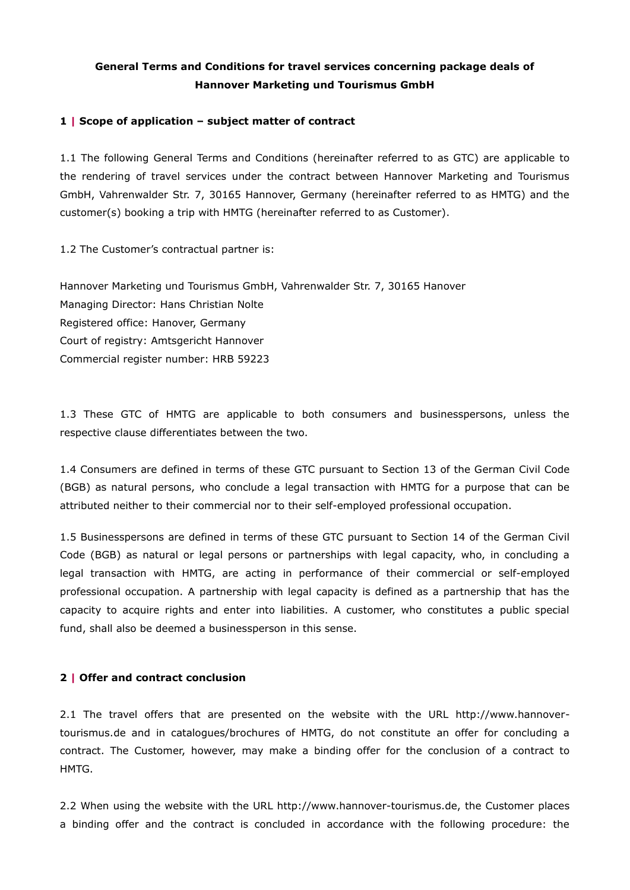# **General Terms and Conditions for travel services concerning package deals of Hannover Marketing und Tourismus GmbH**

#### **1 | Scope of application – subject matter of contract**

1.1 The following General Terms and Conditions (hereinafter referred to as GTC) are applicable to the rendering of travel services under the contract between Hannover Marketing and Tourismus GmbH, Vahrenwalder Str. 7, 30165 Hannover, Germany (hereinafter referred to as HMTG) and the customer(s) booking a trip with HMTG (hereinafter referred to as Customer).

1.2 The Customer's contractual partner is:

Hannover Marketing und Tourismus GmbH, Vahrenwalder Str. 7, 30165 Hanover Managing Director: Hans Christian Nolte Registered office: Hanover, Germany Court of registry: Amtsgericht Hannover Commercial register number: HRB 59223

1.3 These GTC of HMTG are applicable to both consumers and businesspersons, unless the respective clause differentiates between the two.

1.4 Consumers are defined in terms of these GTC pursuant to Section 13 of the German Civil Code (BGB) as natural persons, who conclude a legal transaction with HMTG for a purpose that can be attributed neither to their commercial nor to their self-employed professional occupation.

1.5 Businesspersons are defined in terms of these GTC pursuant to Section 14 of the German Civil Code (BGB) as natural or legal persons or partnerships with legal capacity, who, in concluding a legal transaction with HMTG, are acting in performance of their commercial or self-employed professional occupation. A partnership with legal capacity is defined as a partnership that has the capacity to acquire rights and enter into liabilities. A customer, who constitutes a public special fund, shall also be deemed a businessperson in this sense.

### **2 | Offer and contract conclusion**

2.1 The travel offers that are presented on the website with the URL http://www.hannovertourismus.de and in catalogues/brochures of HMTG, do not constitute an offer for concluding a contract. The Customer, however, may make a binding offer for the conclusion of a contract to HMTG.

2.2 When using the website with the URL http://www.hannover-tourismus.de, the Customer places a binding offer and the contract is concluded in accordance with the following procedure: the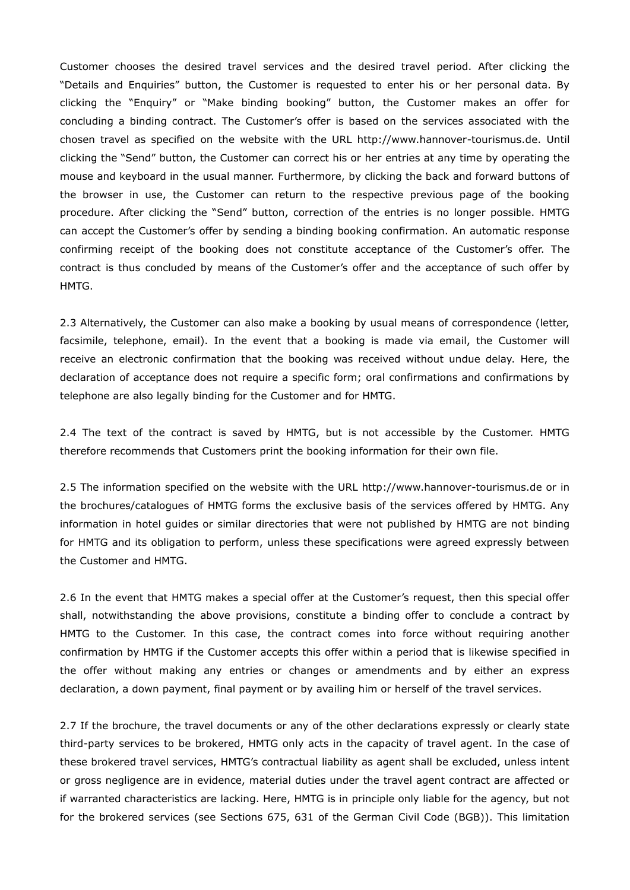Customer chooses the desired travel services and the desired travel period. After clicking the "Details and Enquiries" button, the Customer is requested to enter his or her personal data. By clicking the "Enquiry" or "Make binding booking" button, the Customer makes an offer for concluding a binding contract. The Customer's offer is based on the services associated with the chosen travel as specified on the website with the URL http://www.hannover-tourismus.de. Until clicking the "Send" button, the Customer can correct his or her entries at any time by operating the mouse and keyboard in the usual manner. Furthermore, by clicking the back and forward buttons of the browser in use, the Customer can return to the respective previous page of the booking procedure. After clicking the "Send" button, correction of the entries is no longer possible. HMTG can accept the Customer's offer by sending a binding booking confirmation. An automatic response confirming receipt of the booking does not constitute acceptance of the Customer's offer. The contract is thus concluded by means of the Customer's offer and the acceptance of such offer by HMTG.

2.3 Alternatively, the Customer can also make a booking by usual means of correspondence (letter, facsimile, telephone, email). In the event that a booking is made via email, the Customer will receive an electronic confirmation that the booking was received without undue delay. Here, the declaration of acceptance does not require a specific form; oral confirmations and confirmations by telephone are also legally binding for the Customer and for HMTG.

2.4 The text of the contract is saved by HMTG, but is not accessible by the Customer. HMTG therefore recommends that Customers print the booking information for their own file.

2.5 The information specified on the website with the URL http://www.hannover-tourismus.de or in the brochures/catalogues of HMTG forms the exclusive basis of the services offered by HMTG. Any information in hotel guides or similar directories that were not published by HMTG are not binding for HMTG and its obligation to perform, unless these specifications were agreed expressly between the Customer and HMTG.

2.6 In the event that HMTG makes a special offer at the Customer's request, then this special offer shall, notwithstanding the above provisions, constitute a binding offer to conclude a contract by HMTG to the Customer. In this case, the contract comes into force without requiring another confirmation by HMTG if the Customer accepts this offer within a period that is likewise specified in the offer without making any entries or changes or amendments and by either an express declaration, a down payment, final payment or by availing him or herself of the travel services.

2.7 If the brochure, the travel documents or any of the other declarations expressly or clearly state third-party services to be brokered, HMTG only acts in the capacity of travel agent. In the case of these brokered travel services, HMTG's contractual liability as agent shall be excluded, unless intent or gross negligence are in evidence, material duties under the travel agent contract are affected or if warranted characteristics are lacking. Here, HMTG is in principle only liable for the agency, but not for the brokered services (see Sections 675, 631 of the German Civil Code (BGB)). This limitation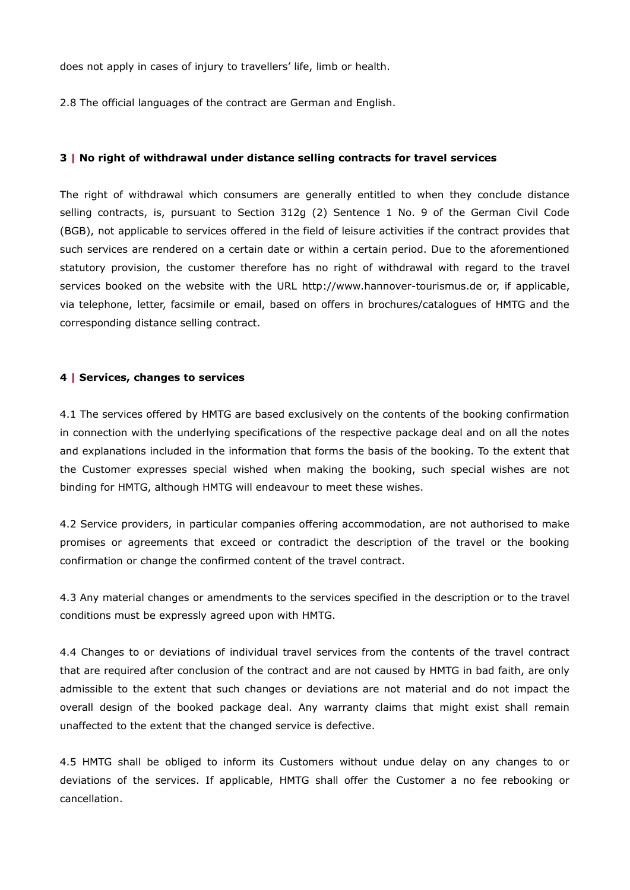does not apply in cases of injury to travellers' life, limb or health.

2.8 The official languages of the contract are German and English.

#### **3 | No right of withdrawal under distance selling contracts for travel services**

The right of withdrawal which consumers are generally entitled to when they conclude distance selling contracts, is, pursuant to Section 312g (2) Sentence 1 No. 9 of the German Civil Code (BGB), not applicable to services offered in the field of leisure activities if the contract provides that such services are rendered on a certain date or within a certain period. Due to the aforementioned statutory provision, the customer therefore has no right of withdrawal with regard to the travel services booked on the website with the URL http://www.hannover-tourismus.de or, if applicable, via telephone, letter, facsimile or email, based on offers in brochures/catalogues of HMTG and the corresponding distance selling contract.

#### **4 | Services, changes to services**

4.1 The services offered by HMTG are based exclusively on the contents of the booking confirmation in connection with the underlying specifications of the respective package deal and on all the notes and explanations included in the information that forms the basis of the booking. To the extent that the Customer expresses special wished when making the booking, such special wishes are not binding for HMTG, although HMTG will endeavour to meet these wishes.

4.2 Service providers, in particular companies offering accommodation, are not authorised to make promises or agreements that exceed or contradict the description of the travel or the booking confirmation or change the confirmed content of the travel contract.

4.3 Any material changes or amendments to the services specified in the description or to the travel conditions must be expressly agreed upon with HMTG.

4.4 Changes to or deviations of individual travel services from the contents of the travel contract that are required after conclusion of the contract and are not caused by HMTG in bad faith, are only admissible to the extent that such changes or deviations are not material and do not impact the overall design of the booked package deal. Any warranty claims that might exist shall remain unaffected to the extent that the changed service is defective.

4.5 HMTG shall be obliged to inform its Customers without undue delay on any changes to or deviations of the services. If applicable, HMTG shall offer the Customer a no fee rebooking or cancellation.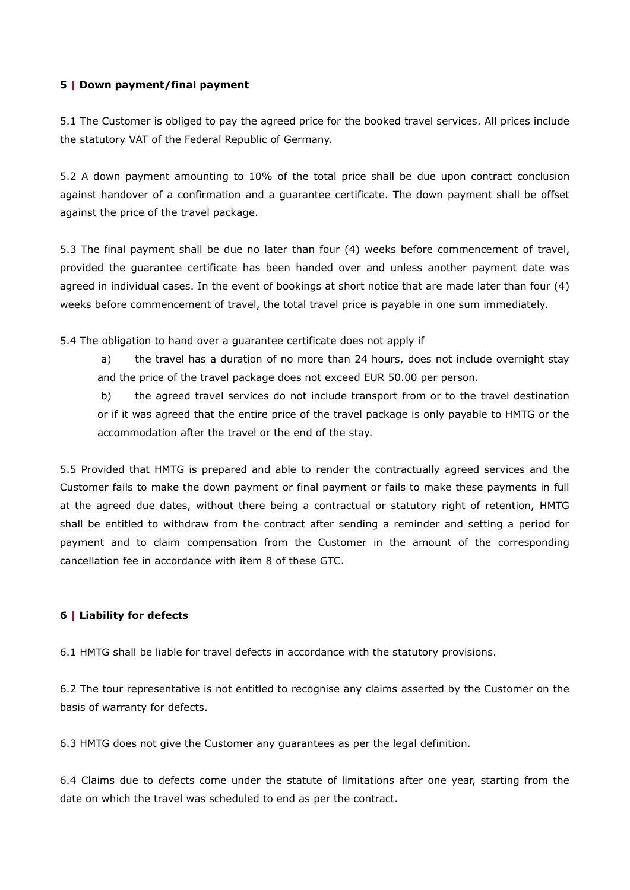## **5 | Down payment/final payment**

5.1 The Customer is obliged to pay the agreed price for the booked travel services. All prices include the statutory VAT of the Federal Republic of Germany.

5.2 A down payment amounting to 10% of the total price shall be due upon contract conclusion against handover of a confirmation and a guarantee certificate. The down payment shall be offset against the price of the travel package.

5.3 The final payment shall be due no later than four (4) weeks before commencement of travel, provided the guarantee certificate has been handed over and unless another payment date was agreed in individual cases. In the event of bookings at short notice that are made later than four (4) weeks before commencement of travel, the total travel price is payable in one sum immediately.

5.4 The obligation to hand over a guarantee certificate does not apply if

a) the travel has a duration of no more than 24 hours, does not include overnight stay and the price of the travel package does not exceed EUR 50.00 per person.

b) the agreed travel services do not include transport from or to the travel destination or if it was agreed that the entire price of the travel package is only payable to HMTG or the accommodation after the travel or the end of the stay.

5.5 Provided that HMTG is prepared and able to render the contractually agreed services and the Customer fails to make the down payment or final payment or fails to make these payments in full at the agreed due dates, without there being a contractual or statutory right of retention, HMTG shall be entitled to withdraw from the contract after sending a reminder and setting a period for payment and to claim compensation from the Customer in the amount of the corresponding cancellation fee in accordance with item 8 of these GTC.

# **6 | Liability for defects**

6.1 HMTG shall be liable for travel defects in accordance with the statutory provisions.

6.2 The tour representative is not entitled to recognise any claims asserted by the Customer on the basis of warranty for defects.

6.3 HMTG does not give the Customer any guarantees as per the legal definition.

6.4 Claims due to defects come under the statute of limitations after one year, starting from the date on which the travel was scheduled to end as per the contract.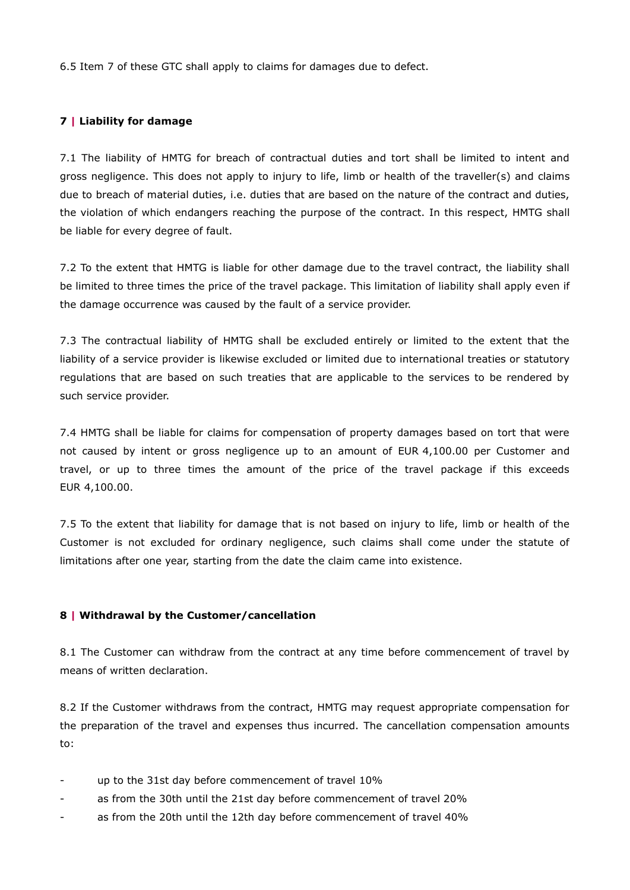6.5 Item 7 of these GTC shall apply to claims for damages due to defect.

## **7 | Liability for damage**

7.1 The liability of HMTG for breach of contractual duties and tort shall be limited to intent and gross negligence. This does not apply to injury to life, limb or health of the traveller(s) and claims due to breach of material duties, i.e. duties that are based on the nature of the contract and duties, the violation of which endangers reaching the purpose of the contract. In this respect, HMTG shall be liable for every degree of fault.

7.2 To the extent that HMTG is liable for other damage due to the travel contract, the liability shall be limited to three times the price of the travel package. This limitation of liability shall apply even if the damage occurrence was caused by the fault of a service provider.

7.3 The contractual liability of HMTG shall be excluded entirely or limited to the extent that the liability of a service provider is likewise excluded or limited due to international treaties or statutory regulations that are based on such treaties that are applicable to the services to be rendered by such service provider.

7.4 HMTG shall be liable for claims for compensation of property damages based on tort that were not caused by intent or gross negligence up to an amount of EUR 4,100.00 per Customer and travel, or up to three times the amount of the price of the travel package if this exceeds EUR 4,100.00.

7.5 To the extent that liability for damage that is not based on injury to life, limb or health of the Customer is not excluded for ordinary negligence, such claims shall come under the statute of limitations after one year, starting from the date the claim came into existence.

### **8 | Withdrawal by the Customer/cancellation**

8.1 The Customer can withdraw from the contract at any time before commencement of travel by means of written declaration.

8.2 If the Customer withdraws from the contract, HMTG may request appropriate compensation for the preparation of the travel and expenses thus incurred. The cancellation compensation amounts to:

- up to the 31st day before commencement of travel 10%
- as from the 30th until the 21st day before commencement of travel 20%
- as from the 20th until the 12th day before commencement of travel 40%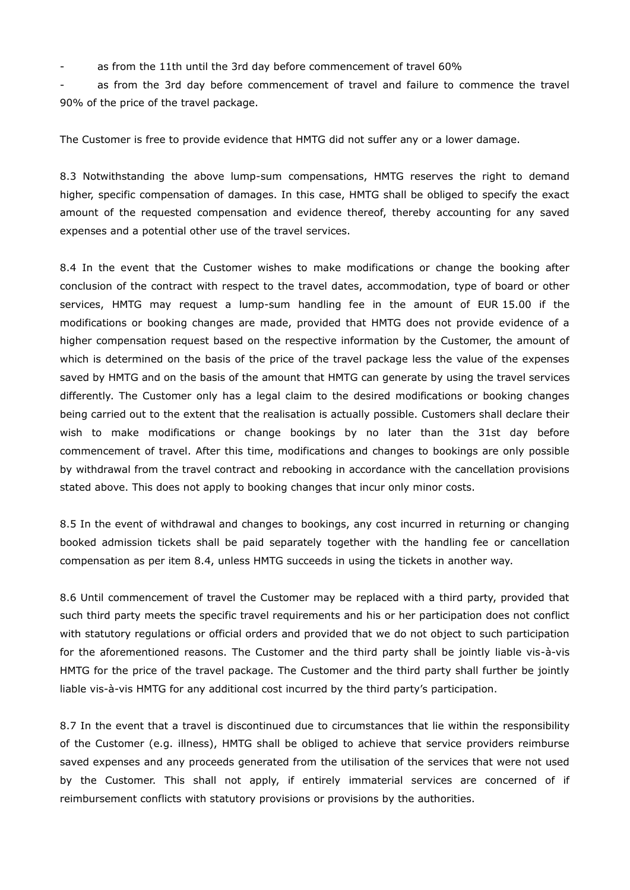as from the 11th until the 3rd day before commencement of travel 60%

as from the 3rd day before commencement of travel and failure to commence the travel 90% of the price of the travel package.

The Customer is free to provide evidence that HMTG did not suffer any or a lower damage.

8.3 Notwithstanding the above lump-sum compensations, HMTG reserves the right to demand higher, specific compensation of damages. In this case, HMTG shall be obliged to specify the exact amount of the requested compensation and evidence thereof, thereby accounting for any saved expenses and a potential other use of the travel services.

8.4 In the event that the Customer wishes to make modifications or change the booking after conclusion of the contract with respect to the travel dates, accommodation, type of board or other services, HMTG may request a lump-sum handling fee in the amount of EUR 15.00 if the modifications or booking changes are made, provided that HMTG does not provide evidence of a higher compensation request based on the respective information by the Customer, the amount of which is determined on the basis of the price of the travel package less the value of the expenses saved by HMTG and on the basis of the amount that HMTG can generate by using the travel services differently. The Customer only has a legal claim to the desired modifications or booking changes being carried out to the extent that the realisation is actually possible. Customers shall declare their wish to make modifications or change bookings by no later than the 31st day before commencement of travel. After this time, modifications and changes to bookings are only possible by withdrawal from the travel contract and rebooking in accordance with the cancellation provisions stated above. This does not apply to booking changes that incur only minor costs.

8.5 In the event of withdrawal and changes to bookings, any cost incurred in returning or changing booked admission tickets shall be paid separately together with the handling fee or cancellation compensation as per item 8.4, unless HMTG succeeds in using the tickets in another way.

8.6 Until commencement of travel the Customer may be replaced with a third party, provided that such third party meets the specific travel requirements and his or her participation does not conflict with statutory regulations or official orders and provided that we do not object to such participation for the aforementioned reasons. The Customer and the third party shall be jointly liable vis-à-vis HMTG for the price of the travel package. The Customer and the third party shall further be jointly liable vis-à-vis HMTG for any additional cost incurred by the third party's participation.

8.7 In the event that a travel is discontinued due to circumstances that lie within the responsibility of the Customer (e.g. illness), HMTG shall be obliged to achieve that service providers reimburse saved expenses and any proceeds generated from the utilisation of the services that were not used by the Customer. This shall not apply, if entirely immaterial services are concerned of if reimbursement conflicts with statutory provisions or provisions by the authorities.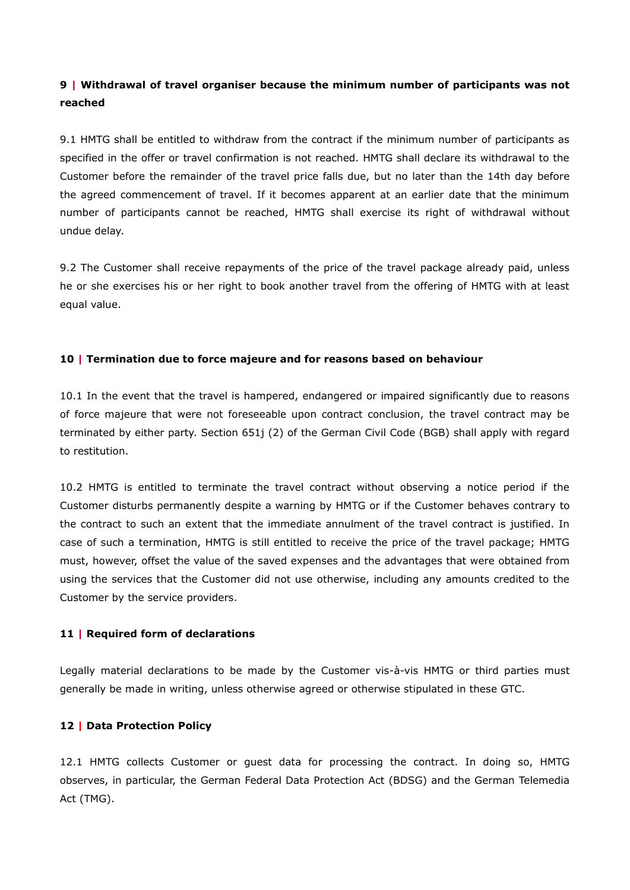# **9 | Withdrawal of travel organiser because the minimum number of participants was not reached**

9.1 HMTG shall be entitled to withdraw from the contract if the minimum number of participants as specified in the offer or travel confirmation is not reached. HMTG shall declare its withdrawal to the Customer before the remainder of the travel price falls due, but no later than the 14th day before the agreed commencement of travel. If it becomes apparent at an earlier date that the minimum number of participants cannot be reached, HMTG shall exercise its right of withdrawal without undue delay.

9.2 The Customer shall receive repayments of the price of the travel package already paid, unless he or she exercises his or her right to book another travel from the offering of HMTG with at least equal value.

## **10 | Termination due to force majeure and for reasons based on behaviour**

10.1 In the event that the travel is hampered, endangered or impaired significantly due to reasons of force majeure that were not foreseeable upon contract conclusion, the travel contract may be terminated by either party. Section 651j (2) of the German Civil Code (BGB) shall apply with regard to restitution.

10.2 HMTG is entitled to terminate the travel contract without observing a notice period if the Customer disturbs permanently despite a warning by HMTG or if the Customer behaves contrary to the contract to such an extent that the immediate annulment of the travel contract is justified. In case of such a termination, HMTG is still entitled to receive the price of the travel package; HMTG must, however, offset the value of the saved expenses and the advantages that were obtained from using the services that the Customer did not use otherwise, including any amounts credited to the Customer by the service providers.

### **11 | Required form of declarations**

Legally material declarations to be made by the Customer vis-à-vis HMTG or third parties must generally be made in writing, unless otherwise agreed or otherwise stipulated in these GTC.

# **12 | Data Protection Policy**

12.1 HMTG collects Customer or guest data for processing the contract. In doing so, HMTG observes, in particular, the German Federal Data Protection Act (BDSG) and the German Telemedia Act (TMG).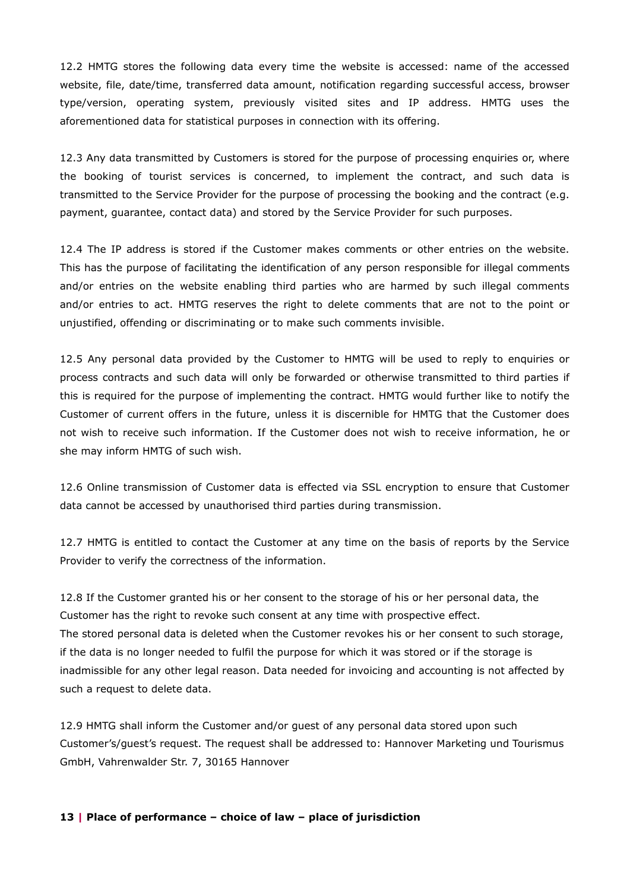12.2 HMTG stores the following data every time the website is accessed: name of the accessed website, file, date/time, transferred data amount, notification regarding successful access, browser type/version, operating system, previously visited sites and IP address. HMTG uses the aforementioned data for statistical purposes in connection with its offering.

12.3 Any data transmitted by Customers is stored for the purpose of processing enquiries or, where the booking of tourist services is concerned, to implement the contract, and such data is transmitted to the Service Provider for the purpose of processing the booking and the contract (e.g. payment, guarantee, contact data) and stored by the Service Provider for such purposes.

12.4 The IP address is stored if the Customer makes comments or other entries on the website. This has the purpose of facilitating the identification of any person responsible for illegal comments and/or entries on the website enabling third parties who are harmed by such illegal comments and/or entries to act. HMTG reserves the right to delete comments that are not to the point or unjustified, offending or discriminating or to make such comments invisible.

12.5 Any personal data provided by the Customer to HMTG will be used to reply to enquiries or process contracts and such data will only be forwarded or otherwise transmitted to third parties if this is required for the purpose of implementing the contract. HMTG would further like to notify the Customer of current offers in the future, unless it is discernible for HMTG that the Customer does not wish to receive such information. If the Customer does not wish to receive information, he or she may inform HMTG of such wish.

12.6 Online transmission of Customer data is effected via SSL encryption to ensure that Customer data cannot be accessed by unauthorised third parties during transmission.

12.7 HMTG is entitled to contact the Customer at any time on the basis of reports by the Service Provider to verify the correctness of the information.

12.8 If the Customer granted his or her consent to the storage of his or her personal data, the Customer has the right to revoke such consent at any time with prospective effect. The stored personal data is deleted when the Customer revokes his or her consent to such storage, if the data is no longer needed to fulfil the purpose for which it was stored or if the storage is inadmissible for any other legal reason. Data needed for invoicing and accounting is not affected by such a request to delete data.

12.9 HMTG shall inform the Customer and/or guest of any personal data stored upon such Customer's/guest's request. The request shall be addressed to: Hannover Marketing und Tourismus GmbH, Vahrenwalder Str. 7, 30165 Hannover

#### **13 | Place of performance – choice of law – place of jurisdiction**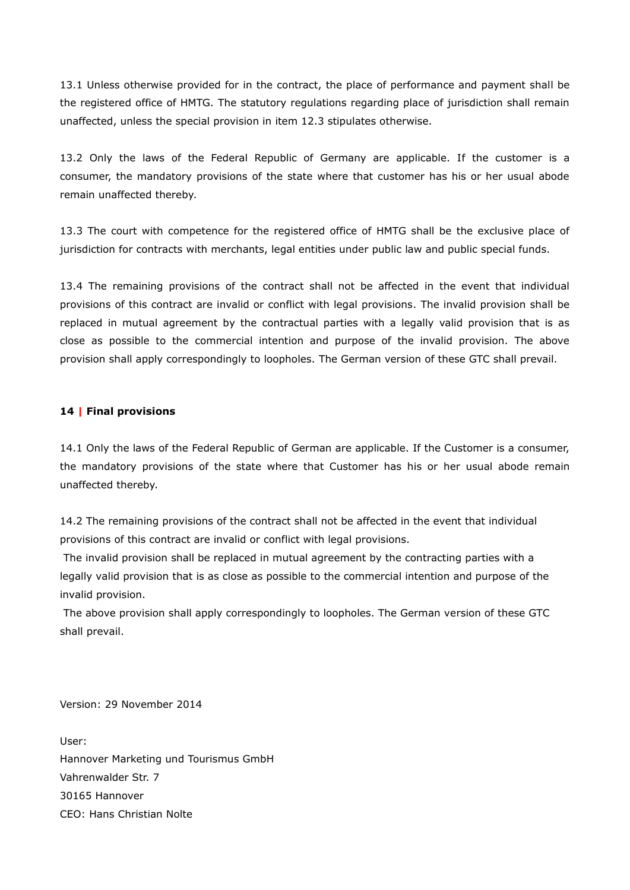13.1 Unless otherwise provided for in the contract, the place of performance and payment shall be the registered office of HMTG. The statutory regulations regarding place of jurisdiction shall remain unaffected, unless the special provision in item 12.3 stipulates otherwise.

13.2 Only the laws of the Federal Republic of Germany are applicable. If the customer is a consumer, the mandatory provisions of the state where that customer has his or her usual abode remain unaffected thereby.

13.3 The court with competence for the registered office of HMTG shall be the exclusive place of jurisdiction for contracts with merchants, legal entities under public law and public special funds.

13.4 The remaining provisions of the contract shall not be affected in the event that individual provisions of this contract are invalid or conflict with legal provisions. The invalid provision shall be replaced in mutual agreement by the contractual parties with a legally valid provision that is as close as possible to the commercial intention and purpose of the invalid provision. The above provision shall apply correspondingly to loopholes. The German version of these GTC shall prevail.

## **14 | Final provisions**

14.1 Only the laws of the Federal Republic of German are applicable. If the Customer is a consumer, the mandatory provisions of the state where that Customer has his or her usual abode remain unaffected thereby.

14.2 The remaining provisions of the contract shall not be affected in the event that individual provisions of this contract are invalid or conflict with legal provisions.

The invalid provision shall be replaced in mutual agreement by the contracting parties with a legally valid provision that is as close as possible to the commercial intention and purpose of the invalid provision.

The above provision shall apply correspondingly to loopholes. The German version of these GTC shall prevail.

Version: 29 November 2014

User: Hannover Marketing und Tourismus GmbH Vahrenwalder Str. 7 30165 Hannover CEO: Hans Christian Nolte